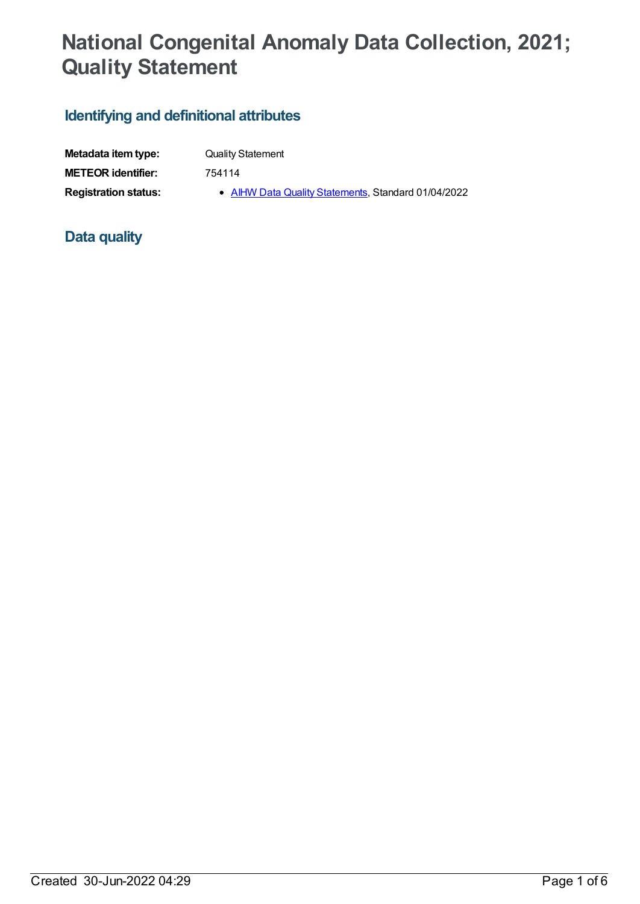# **National Congenital Anomaly Data Collection, 2021; Quality Statement**

## **Identifying and definitional attributes**

| Metadata item type:         | <b>Quality Statement</b>                            |
|-----------------------------|-----------------------------------------------------|
| <b>METEOR</b> identifier:   | 754114                                              |
| <b>Registration status:</b> | • AIHW Data Quality Statements, Standard 01/04/2022 |

## **Data quality**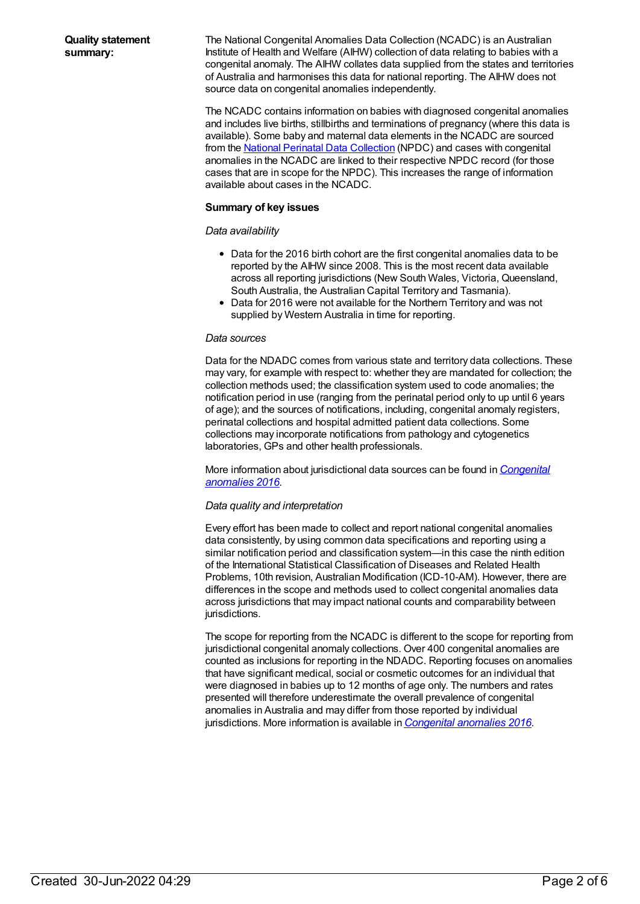The National Congenital Anomalies Data Collection (NCADC) is an Australian Institute of Health and Welfare (AIHW) collection of data relating to babies with a congenital anomaly. The AIHW collates data supplied from the states and territories of Australia and harmonises this data for national reporting. The AIHW does not source data on congenital anomalies independently.

The NCADC contains information on babies with diagnosed congenital anomalies and includes live births, stillbirths and terminations of pregnancy (where this data is available). Some baby and maternal data elements in the NCADC are sourced from the National Perinatal Data [Collection](file:///content/392479) (NPDC) and cases with congenital anomalies in the NCADC are linked to their respective NPDC record (for those cases that are in scope for the NPDC). This increases the range of information available about cases in the NCADC.

### **Summary of key issues**

### *Data availability*

- Data for the 2016 birth cohort are the first congenital anomalies data to be reported by the AIHW since 2008. This is the most recent data available across all reporting jurisdictions (New South Wales, Victoria, Queensland, South Australia, the Australian Capital Territory and Tasmania).
- Data for 2016 were not available for the Northern Territory and was not supplied by Western Australia in time for reporting.

#### *Data sources*

Data for the NDADC comes from various state and territory data collections. These may vary, for example with respect to: whether they are mandated for collection; the collection methods used; the classification system used to code anomalies; the notification period in use (ranging from the perinatal period only to up until 6 years of age); and the sources of notifications, including, congenital anomaly registers, perinatal collections and hospital admitted patient data collections. Some collections may incorporate notifications from pathology and cytogenetics laboratories, GPs and other health professionals.

More information about [jurisdictional](https://www.aihw.gov.au/reports/mothers-babies/congenital-anomalies-in-australia-2016) data sources can be found in *Congenital anomalies 2016*.

#### *Data quality and interpretation*

Every effort has been made to collect and report national congenital anomalies data consistently, by using common data specifications and reporting using a similar notification period and classification system—in this case the ninth edition of the International Statistical Classification of Diseases and Related Health Problems, 10th revision, Australian Modification (ICD-10-AM). However, there are differences in the scope and methods used to collect congenital anomalies data across jurisdictions that may impact national counts and comparability between jurisdictions.

The scope for reporting from the NCADC is different to the scope for reporting from jurisdictional congenital anomaly collections. Over 400 congenital anomalies are counted as inclusions for reporting in the NDADC. Reporting focuses on anomalies that have significant medical, social or cosmetic outcomes for an individual that were diagnosed in babies up to 12 months of age only. The numbers and rates presented will therefore underestimate the overall prevalence of congenital anomalies in Australia and may differ from those reported by individual jurisdictions. More information is available in *[Congenital](https://www.aihw.gov.au/reports/mothers-babies/congenital-anomalies-in-australia-2016) anomalies 2016*.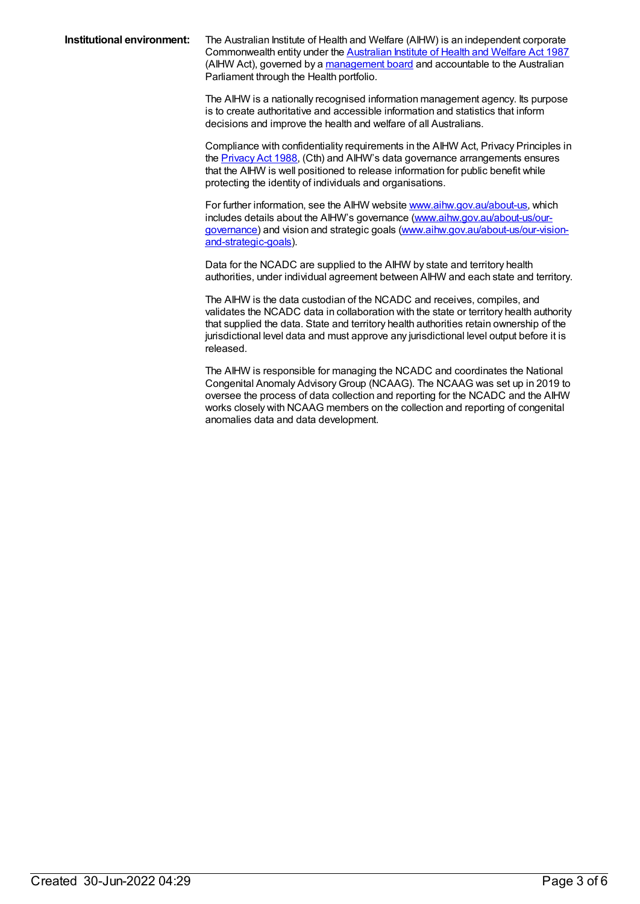**Institutional environment:** The Australian Institute of Health and Welfare (AIHW) is an independent corporate Commonwealth entity under the [Australian](https://www.legislation.gov.au/Details/C2018C00474) Institute of Health and Welfare Act 1987 (AIHW Act), governed by a [management](https://www.aihw.gov.au/about-us/our-governance) board and accountable to the Australian Parliament through the Health portfolio.

> The AIHW is a nationally recognised information management agency. Its purpose is to create authoritative and accessible information and statistics that inform decisions and improve the health and welfare of all Australians.

Compliance with confidentiality requirements in the AIHW Act, Privacy Principles in the [Privacy](https://www.legislation.gov.au/series/C2004A03712) Act 1988, (Cth) and AIHW's data governance arrangements ensures that the AIHW is well positioned to release information for public benefit while protecting the identity of individuals and organisations.

For further information, see the AIHW website [www.aihw.gov.au/about-us](http://www.aihw.gov.au/about-us), which includes details about the AIHW's governance [\(www.aihw.gov.au/about-us/our](http://www.aihw.gov.au/about-us/our-governance)governance) and vision and strategic goals [\(www.aihw.gov.au/about-us/our-vision](http://www.aihw.gov.au/about-us/our-vision-and-strategic-goals)and-strategic-goals).

Data for the NCADC are supplied to the AIHW by state and territory health authorities, under individual agreement between AIHW and each state and territory.

The AIHW is the data custodian of the NCADC and receives, compiles, and validates the NCADC data in collaboration with the state or territory health authority that supplied the data. State and territory health authorities retain ownership of the jurisdictional level data and must approve any jurisdictional level output before it is released.

The AIHW is responsible for managing the NCADC and coordinates the National Congenital Anomaly AdvisoryGroup (NCAAG). The NCAAG was set up in 2019 to oversee the process of data collection and reporting for the NCADC and the AIHW works closely with NCAAG members on the collection and reporting of congenital anomalies data and data development.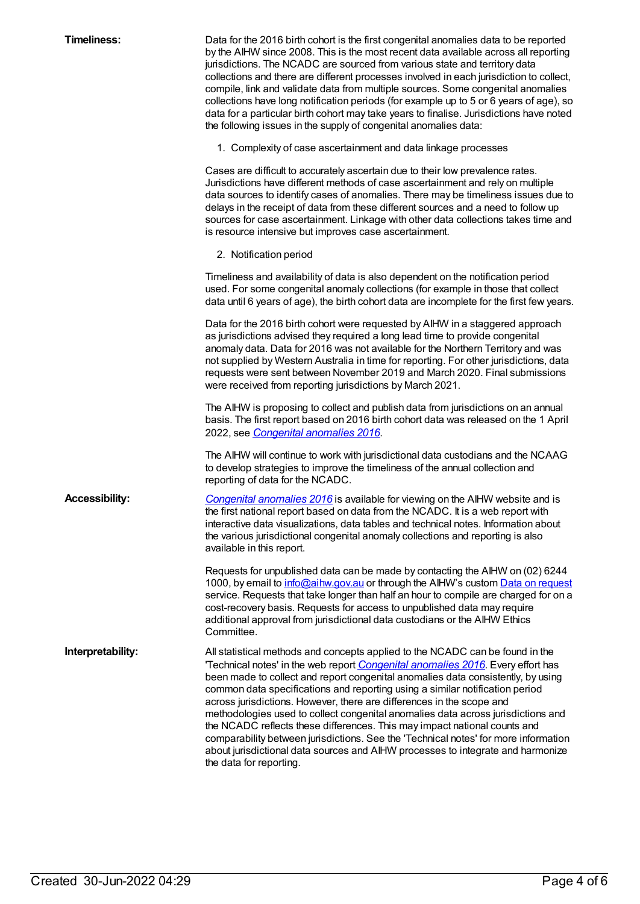| <b>Timeliness:</b>    | Data for the 2016 birth cohort is the first congenital anomalies data to be reported<br>by the AIHW since 2008. This is the most recent data available across all reporting<br>jurisdictions. The NCADC are sourced from various state and territory data<br>collections and there are different processes involved in each jurisdiction to collect,<br>compile, link and validate data from multiple sources. Some congenital anomalies<br>collections have long notification periods (for example up to 5 or 6 years of age), so<br>data for a particular birth cohort may take years to finalise. Jurisdictions have noted<br>the following issues in the supply of congenital anomalies data:                                                                                   |
|-----------------------|-------------------------------------------------------------------------------------------------------------------------------------------------------------------------------------------------------------------------------------------------------------------------------------------------------------------------------------------------------------------------------------------------------------------------------------------------------------------------------------------------------------------------------------------------------------------------------------------------------------------------------------------------------------------------------------------------------------------------------------------------------------------------------------|
|                       | 1. Complexity of case ascertainment and data linkage processes                                                                                                                                                                                                                                                                                                                                                                                                                                                                                                                                                                                                                                                                                                                      |
|                       | Cases are difficult to accurately ascertain due to their low prevalence rates.<br>Jurisdictions have different methods of case ascertainment and rely on multiple<br>data sources to identify cases of anomalies. There may be timeliness issues due to<br>delays in the receipt of data from these different sources and a need to follow up<br>sources for case ascertainment. Linkage with other data collections takes time and<br>is resource intensive but improves case ascertainment.                                                                                                                                                                                                                                                                                       |
|                       | 2. Notification period                                                                                                                                                                                                                                                                                                                                                                                                                                                                                                                                                                                                                                                                                                                                                              |
|                       | Timeliness and availability of data is also dependent on the notification period<br>used. For some congenital anomaly collections (for example in those that collect<br>data until 6 years of age), the birth cohort data are incomplete for the first few years.                                                                                                                                                                                                                                                                                                                                                                                                                                                                                                                   |
|                       | Data for the 2016 birth cohort were requested by AIHW in a staggered approach<br>as jurisdictions advised they required a long lead time to provide congenital<br>anomaly data. Data for 2016 was not available for the Northern Territory and was<br>not supplied by Western Australia in time for reporting. For other jurisdictions, data<br>requests were sent between November 2019 and March 2020. Final submissions<br>were received from reporting jurisdictions by March 2021.                                                                                                                                                                                                                                                                                             |
|                       | The AIHW is proposing to collect and publish data from jurisdictions on an annual<br>basis. The first report based on 2016 birth cohort data was released on the 1 April<br>2022, see Congenital anomalies 2016.                                                                                                                                                                                                                                                                                                                                                                                                                                                                                                                                                                    |
|                       | The AIHW will continue to work with jurisdictional data custodians and the NCAAG<br>to develop strategies to improve the timeliness of the annual collection and<br>reporting of data for the NCADC.                                                                                                                                                                                                                                                                                                                                                                                                                                                                                                                                                                                |
| <b>Accessibility:</b> | Congenital anomalies 2016 is available for viewing on the AIHW website and is<br>the first national report based on data from the NCADC. It is a web report with<br>interactive data visualizations, data tables and technical notes. Information about<br>the various jurisdictional congenital anomaly collections and reporting is also<br>available in this report.                                                                                                                                                                                                                                                                                                                                                                                                             |
|                       | Requests for unpublished data can be made by contacting the AIHW on (02) 6244<br>1000, by email to info@aihw.gov.au or through the AlHW's custom Data on request<br>service. Requests that take longer than half an hour to compile are charged for on a<br>cost-recovery basis. Requests for access to unpublished data may require<br>additional approval from jurisdictional data custodians or the AIHW Ethics<br>Committee.                                                                                                                                                                                                                                                                                                                                                    |
| Interpretability:     | All statistical methods and concepts applied to the NCADC can be found in the<br>'Technical notes' in the web report Congenital anomalies 2016. Every effort has<br>been made to collect and report congenital anomalies data consistently, by using<br>common data specifications and reporting using a similar notification period<br>across jurisdictions. However, there are differences in the scope and<br>methodologies used to collect congenital anomalies data across jurisdictions and<br>the NCADC reflects these differences. This may impact national counts and<br>comparability between jurisdictions. See the 'Technical notes' for more information<br>about jurisdictional data sources and AIHW processes to integrate and harmonize<br>the data for reporting. |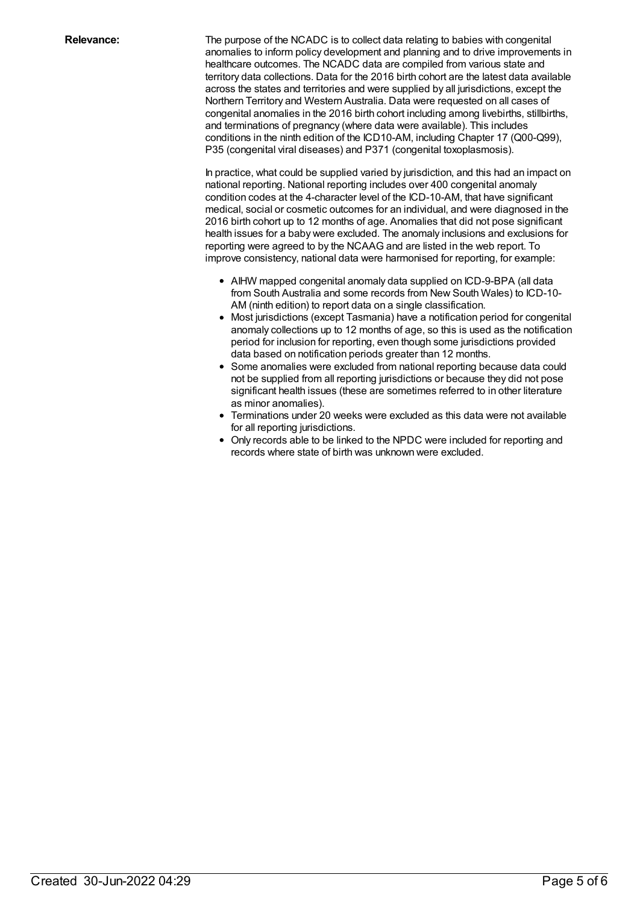**Relevance:** The purpose of the NCADC is to collect data relating to babies with congenital anomalies to inform policy development and planning and to drive improvements in healthcare outcomes. The NCADC data are compiled from various state and territory data collections. Data for the 2016 birth cohort are the latest data available across the states and territories and were supplied by all jurisdictions, except the Northern Territory and Western Australia. Data were requested on all cases of congenital anomalies in the 2016 birth cohort including among livebirths, stillbirths, and terminations of pregnancy (where data were available). This includes conditions in the ninth edition of the ICD10-AM, including Chapter 17 (Q00-Q99), P35 (congenital viral diseases) and P371 (congenital toxoplasmosis).

> In practice, what could be supplied varied by jurisdiction, and this had an impact on national reporting. National reporting includes over 400 congenital anomaly condition codes at the 4-character level of the ICD-10-AM, that have significant medical, social or cosmetic outcomes for an individual, and were diagnosed in the 2016 birth cohort up to 12 months of age. Anomalies that did not pose significant health issues for a baby were excluded. The anomaly inclusions and exclusions for reporting were agreed to by the NCAAG and are listed in the web report. To improve consistency, national data were harmonised for reporting, for example:

- AIHW mapped congenital anomaly data supplied on ICD-9-BPA (all data from South Australia and some records from New South Wales) to ICD-10- AM (ninth edition) to report data on a single classification.
- Most jurisdictions (except Tasmania) have a notification period for congenital anomaly collections up to 12 months of age, so this is used as the notification period for inclusion for reporting, even though some jurisdictions provided data based on notification periods greater than 12 months.
- Some anomalies were excluded from national reporting because data could not be supplied from all reporting jurisdictions or because they did not pose significant health issues (these are sometimes referred to in other literature as minor anomalies).
- Terminations under 20 weeks were excluded as this data were not available for all reporting jurisdictions.
- Only records able to be linked to the NPDC were included for reporting and records where state of birth was unknown were excluded.